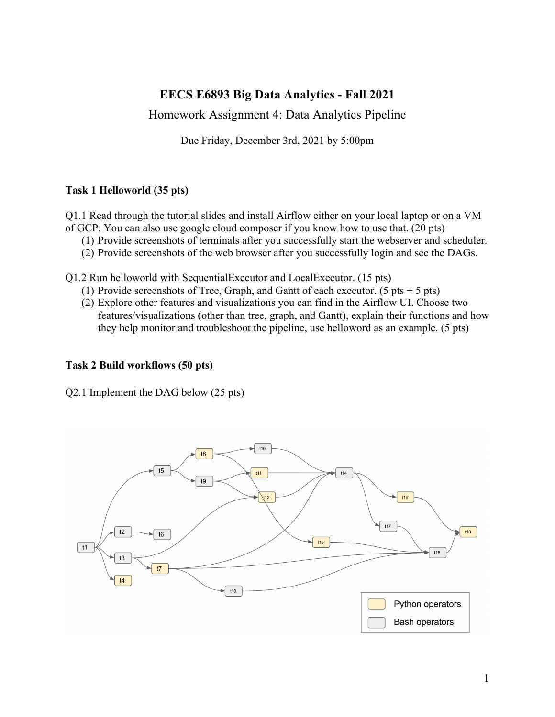# **EECS E6893 Big Data Analytics - Fall 2021**

Homework Assignment 4: Data Analytics Pipeline

Due Friday, December 3rd, 2021 by 5:00pm

# **Task 1 Helloworld (35 pts)**

Q1.1 Read through the tutorial slides and install Airflow either on your local laptop or on a VM of GCP. You can also use google cloud composer if you know how to use that. (20 pts)

- (1) Provide screenshots of terminals after you successfully start the webserver and scheduler.
- (2) Provide screenshots of the web browser after you successfully login and see the DAGs.

Q1.2 Run helloworld with SequentialExecutor and LocalExecutor. (15 pts)

- (1) Provide screenshots of Tree, Graph, and Gantt of each executor. (5 pts  $+$  5 pts)
- (2) Explore other features and visualizations you can find in the Airflow UI. Choose two features/visualizations (other than tree, graph, and Gantt), explain their functions and how they help monitor and troubleshoot the pipeline, use helloword as an example. (5 pts)

### **Task 2 Build workflows (50 pts)**

Q2.1 Implement the DAG below (25 pts)